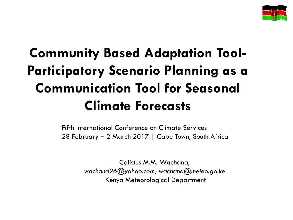

# **Community Based Adaptation Tool-Participatory Scenario Planning as a Communication Tool for Seasonal Climate Forecasts**

Fifth International Conference on Climate Services 28 February – 2 March 2017 | Cape Town, South Africa

> Calistus M.M. Wachana, *wachana26@yahoo.com; wachana@meteo.go.ke*  Kenya Meteorological Department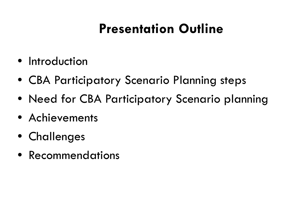# **Presentation Outline**

- Introduction
- CBA Participatory Scenario Planning steps
- Need for CBA Participatory Scenario planning
- Achievements
- Challenges
- Recommendations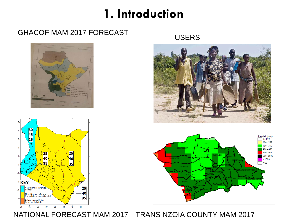#### **1. Introduction**

#### GHACOF MAM 2017 FORECAST USERS









NATIONAL FORECAST MAM 2017 TRANS NZOIA COUNTY MAM 2017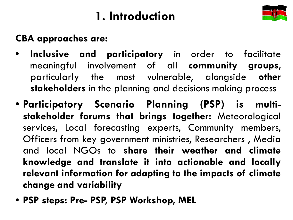## **1. Introduction**



#### **CBA approaches are:**

- **Inclusive and participatory** in order to facilitate meaningful involvement of all **community groups**, particularly the most vulnerable, alongside **other stakeholders** in the planning and decisions making process
- **Participatory Scenario Planning (PSP) is multistakeholder forums that brings together:** Meteorological services, Local forecasting experts, Community members, Officers from key government ministries, Researchers , Media and local NGOs to **share their weather and climate knowledge and translate it into actionable and locally relevant information for adapting to the impacts of climate change and variability**
- **PSP steps: Pre- PSP, PSP Workshop, MEL**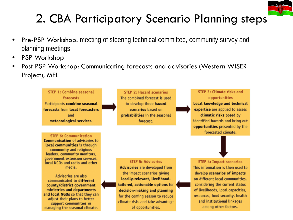

### 2. CBA Participatory Scenario Planning steps

- Pre-PSP Workshop: meeting of steering technical committee, community survey and planning meetings
- PSP Workshop
- Post PSP Workshop: Communicating forecasts and advisories (Western WISER Project), MEL

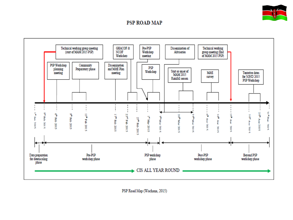

#### **PSP ROAD MAP**



PSP Road Map (Wachana, 2015)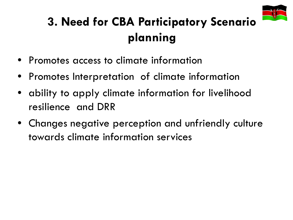

## **3. Need for CBA Participatory Scenario planning**

- Promotes access to climate information
- Promotes Interpretation of climate information
- ability to apply climate information for livelihood resilience and DRR
- Changes negative perception and unfriendly culture towards climate information services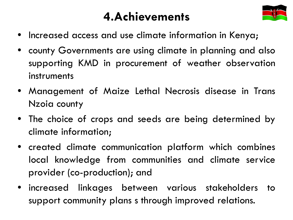### **4.Achievements**



- Increased access and use climate information in Kenya;
- county Governments are using climate in planning and also supporting KMD in procurement of weather observation instruments
- Management of Maize Lethal Necrosis disease in Trans Nzoia county
- The choice of crops and seeds are being determined by climate information;
- created climate communication platform which combines local knowledge from communities and climate service provider (co-production); and
- increased linkages between various stakeholders to support community plans s through improved relations.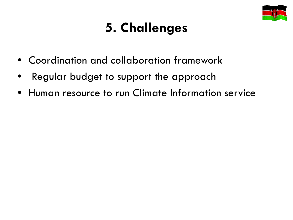

# **5. Challenges**

- Coordination and collaboration framework
- Regular budget to support the approach
- Human resource to run Climate Information service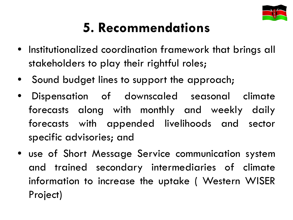

# **5. Recommendations**

- Institutionalized coordination framework that brings all stakeholders to play their rightful roles;
- Sound budget lines to support the approach;
- Dispensation of downscaled seasonal climate forecasts along with monthly and weekly daily forecasts with appended livelihoods and sector specific advisories; and
- use of Short Message Service communication system and trained secondary intermediaries of climate information to increase the uptake ( Western WISER Project)